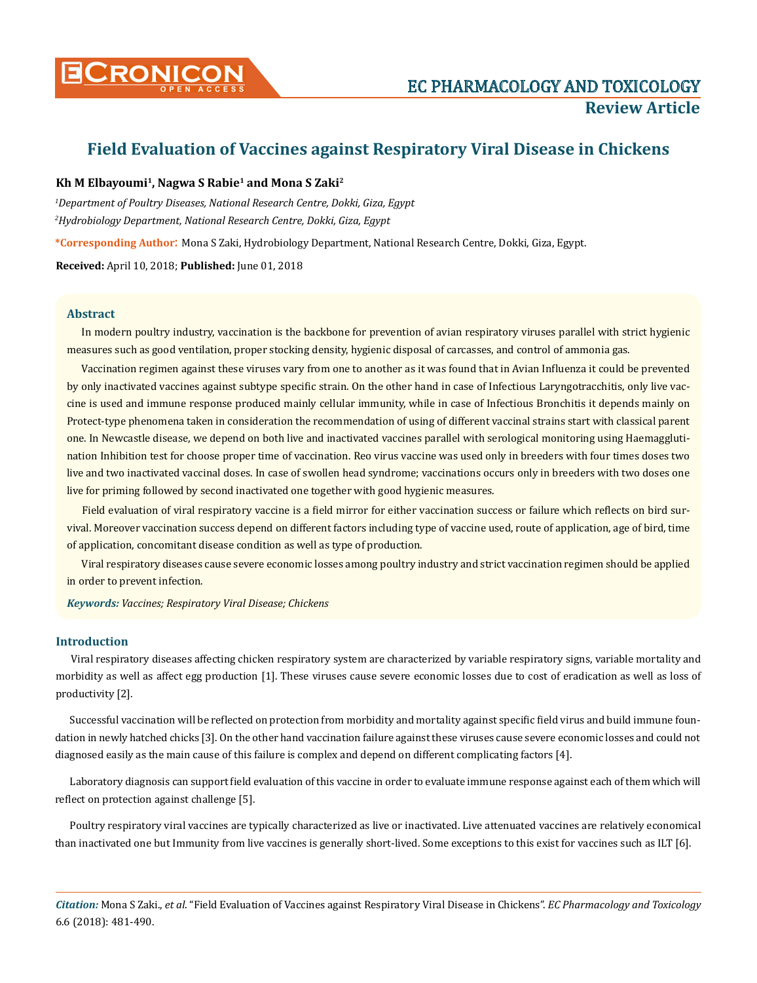

# **Field Evaluation of Vaccines against Respiratory Viral Disease in Chickens**

# **Kh M Elbayoumi1, Nagwa S Rabie1 and Mona S Zaki2**

*1 Department of Poultry Diseases, National Research Centre, Dokki, Giza, Egypt 2 Hydrobiology Department, National Research Centre, Dokki, Giza, Egypt*

**\*Corresponding Author**: Mona S Zaki, Hydrobiology Department, National Research Centre, Dokki, Giza, Egypt.

**Received:** April 10, 2018; **Published:** June 01, 2018

# **Abstract**

In modern poultry industry, vaccination is the backbone for prevention of avian respiratory viruses parallel with strict hygienic measures such as good ventilation, proper stocking density, hygienic disposal of carcasses, and control of ammonia gas.

Vaccination regimen against these viruses vary from one to another as it was found that in Avian Influenza it could be prevented by only inactivated vaccines against subtype specific strain. On the other hand in case of Infectious Laryngotracchitis, only live vaccine is used and immune response produced mainly cellular immunity, while in case of Infectious Bronchitis it depends mainly on Protect-type phenomena taken in consideration the recommendation of using of different vaccinal strains start with classical parent one. In Newcastle disease, we depend on both live and inactivated vaccines parallel with serological monitoring using Haemagglutination Inhibition test for choose proper time of vaccination. Reo virus vaccine was used only in breeders with four times doses two live and two inactivated vaccinal doses. In case of swollen head syndrome; vaccinations occurs only in breeders with two doses one live for priming followed by second inactivated one together with good hygienic measures.

Field evaluation of viral respiratory vaccine is a field mirror for either vaccination success or failure which reflects on bird survival. Moreover vaccination success depend on different factors including type of vaccine used, route of application, age of bird, time of application, concomitant disease condition as well as type of production.

Viral respiratory diseases cause severe economic losses among poultry industry and strict vaccination regimen should be applied in order to prevent infection.

*Keywords: Vaccines; Respiratory Viral Disease; Chickens*

# **Introduction**

Viral respiratory diseases affecting chicken respiratory system are characterized by variable respiratory signs, variable mortality and morbidity as well as affect egg production [1]. These viruses cause severe economic losses due to cost of eradication as well as loss of productivity [2].

Successful vaccination will be reflected on protection from morbidity and mortality against specific field virus and build immune foundation in newly hatched chicks [3]. On the other hand vaccination failure against these viruses cause severe economic losses and could not diagnosed easily as the main cause of this failure is complex and depend on different complicating factors [4].

Laboratory diagnosis can support field evaluation of this vaccine in order to evaluate immune response against each of them which will reflect on protection against challenge [5].

Poultry respiratory viral vaccines are typically characterized as live or inactivated. Live attenuated vaccines are relatively economical than inactivated one but Immunity from live vaccines is generally short-lived. Some exceptions to this exist for vaccines such as ILT [6].

*Citation:* Mona S Zaki., *et al*. "Field Evaluation of Vaccines against Respiratory Viral Disease in Chickens". *EC Pharmacology and Toxicology*  6.6 (2018): 481-490.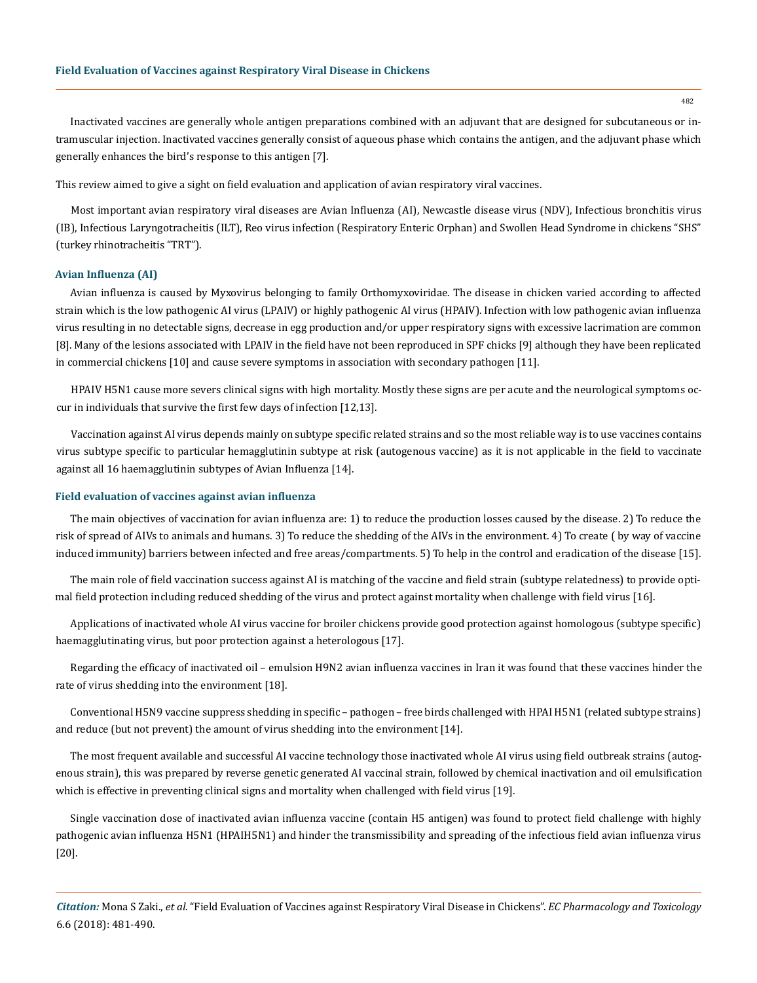Inactivated vaccines are generally whole antigen preparations combined with an adjuvant that are designed for subcutaneous or intramuscular injection. Inactivated vaccines generally consist of aqueous phase which contains the antigen, and the adjuvant phase which generally enhances the bird's response to this antigen [7].

This review aimed to give a sight on field evaluation and application of avian respiratory viral vaccines.

Most important avian respiratory viral diseases are Avian Influenza (AI), Newcastle disease virus (NDV), Infectious bronchitis virus (IB), Infectious Laryngotracheitis (ILT), Reo virus infection (Respiratory Enteric Orphan) and Swollen Head Syndrome in chickens "SHS" (turkey rhinotracheitis "TRT").

#### **Avian Influenza (AI)**

Avian influenza is caused by Myxovirus belonging to family Orthomyxoviridae. The disease in chicken varied according to affected strain which is the low pathogenic AI virus (LPAIV) or highly pathogenic AI virus (HPAIV). Infection with low pathogenic avian influenza virus resulting in no detectable signs, decrease in egg production and/or upper respiratory signs with excessive lacrimation are common [8]. Many of the lesions associated with LPAIV in the field have not been reproduced in SPF chicks [9] although they have been replicated in commercial chickens [10] and cause severe symptoms in association with secondary pathogen [11].

HPAIV H5N1 cause more severs clinical signs with high mortality. Mostly these signs are per acute and the neurological symptoms occur in individuals that survive the first few days of infection [12,13].

Vaccination against AI virus depends mainly on subtype specific related strains and so the most reliable way is to use vaccines contains virus subtype specific to particular hemagglutinin subtype at risk (autogenous vaccine) as it is not applicable in the field to vaccinate against all 16 haemagglutinin subtypes of Avian Influenza [14].

#### **Field evaluation of vaccines against avian influenza**

The main objectives of vaccination for avian influenza are: 1) to reduce the production losses caused by the disease. 2) To reduce the risk of spread of AIVs to animals and humans. 3) To reduce the shedding of the AIVs in the environment. 4) To create ( by way of vaccine induced immunity) barriers between infected and free areas/compartments. 5) To help in the control and eradication of the disease [15].

The main role of field vaccination success against AI is matching of the vaccine and field strain (subtype relatedness) to provide optimal field protection including reduced shedding of the virus and protect against mortality when challenge with field virus [16].

Applications of inactivated whole AI virus vaccine for broiler chickens provide good protection against homologous (subtype specific) haemagglutinating virus, but poor protection against a heterologous [17].

Regarding the efficacy of inactivated oil – emulsion H9N2 avian influenza vaccines in Iran it was found that these vaccines hinder the rate of virus shedding into the environment [18].

Conventional H5N9 vaccine suppress shedding in specific – pathogen – free birds challenged with HPAI H5N1 (related subtype strains) and reduce (but not prevent) the amount of virus shedding into the environment [14].

The most frequent available and successful AI vaccine technology those inactivated whole AI virus using field outbreak strains (autogenous strain), this was prepared by reverse genetic generated AI vaccinal strain, followed by chemical inactivation and oil emulsification which is effective in preventing clinical signs and mortality when challenged with field virus [19].

Single vaccination dose of inactivated avian influenza vaccine (contain H5 antigen) was found to protect field challenge with highly pathogenic avian influenza H5N1 (HPAIH5N1) and hinder the transmissibility and spreading of the infectious field avian influenza virus [20].

*Citation:* Mona S Zaki., *et al*. "Field Evaluation of Vaccines against Respiratory Viral Disease in Chickens". *EC Pharmacology and Toxicology*  6.6 (2018): 481-490.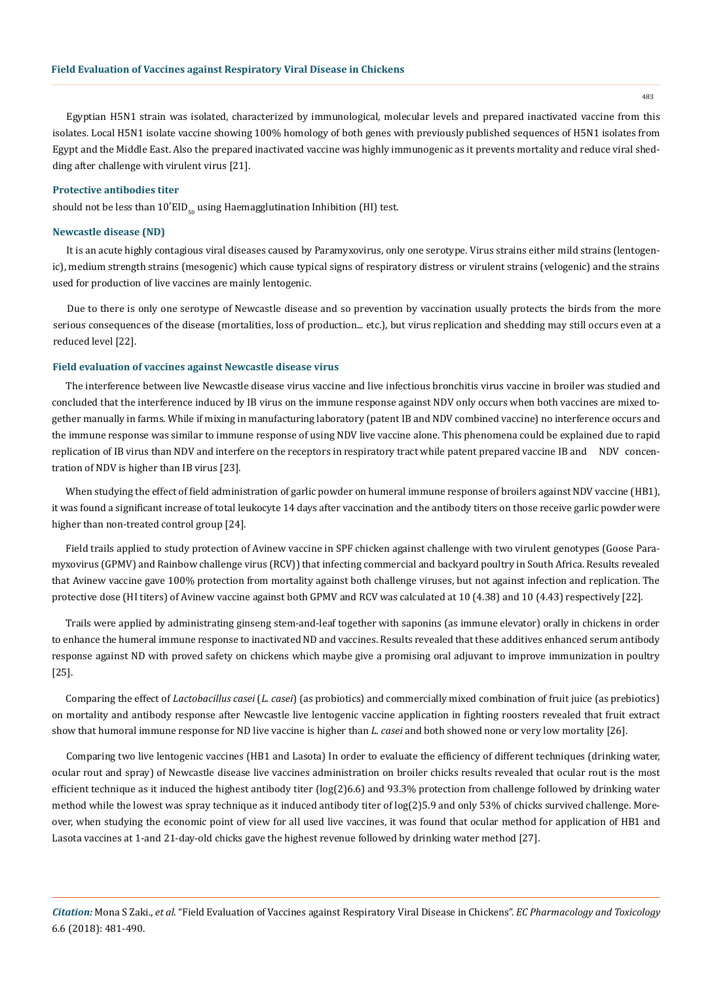Egyptian H5N1 strain was isolated, characterized by immunological, molecular levels and prepared inactivated vaccine from this isolates. Local H5N1 isolate vaccine showing 100% homology of both genes with previously published sequences of H5N1 isolates from Egypt and the Middle East. Also the prepared inactivated vaccine was highly immunogenic as it prevents mortality and reduce viral shedding after challenge with virulent virus [21].

#### **Protective antibodies titer**

should not be less than  $10^{\circ} {\rm EID}_{_{50}}$  using Haemagglutination Inhibition (HI) test.

## **Newcastle disease (ND)**

It is an acute highly contagious viral diseases caused by Paramyxovirus, only one serotype. Virus strains either mild strains (lentogenic), medium strength strains (mesogenic) which cause typical signs of respiratory distress or virulent strains (velogenic) and the strains used for production of live vaccines are mainly lentogenic.

Due to there is only one serotype of Newcastle disease and so prevention by vaccination usually protects the birds from the more serious consequences of the disease (mortalities, loss of production... etc.), but virus replication and shedding may still occurs even at a reduced level [22].

## **Field evaluation of vaccines against Newcastle disease virus**

The interference between live Newcastle disease virus vaccine and live infectious bronchitis virus vaccine in broiler was studied and concluded that the interference induced by IB virus on the immune response against NDV only occurs when both vaccines are mixed together manually in farms. While if mixing in manufacturing laboratory (patent IB and NDV combined vaccine) no interference occurs and the immune response was similar to immune response of using NDV live vaccine alone. This phenomena could be explained due to rapid replication of IB virus than NDV and interfere on the receptors in respiratory tract while patent prepared vaccine IB and NDV concentration of NDV is higher than IB virus [23].

When studying the effect of field administration of garlic powder on humeral immune response of broilers against NDV vaccine (HB1), it was found a significant increase of total leukocyte 14 days after vaccination and the antibody titers on those receive garlic powder were higher than non-treated control group [24].

Field trails applied to study protection of Avinew vaccine in SPF chicken against challenge with two virulent genotypes (Goose Paramyxovirus (GPMV) and Rainbow challenge virus (RCV)) that infecting commercial and backyard poultry in South Africa. Results revealed that Avinew vaccine gave 100% protection from mortality against both challenge viruses, but not against infection and replication. The protective dose (HI titers) of Avinew vaccine against both GPMV and RCV was calculated at 10 (4.38) and 10 (4.43) respectively [22].

Trails were applied by administrating ginseng stem-and-leaf together with saponins (as immune elevator) orally in chickens in order to enhance the humeral immune response to inactivated ND and vaccines. Results revealed that these additives enhanced serum antibody response against ND with proved safety on chickens which maybe give a promising oral adjuvant to improve immunization in poultry [25].

Comparing the effect of *Lactobacillus casei* (*L. casei*) (as probiotics) and commercially mixed combination of fruit juice (as prebiotics) on mortality and antibody response after Newcastle live lentogenic vaccine application in fighting roosters revealed that fruit extract show that humoral immune response for ND live vaccine is higher than *L. casei* and both showed none or very low mortality [26].

Comparing two live lentogenic vaccines (HB1 and Lasota) In order to evaluate the efficiency of different techniques (drinking water, ocular rout and spray) of Newcastle disease live vaccines administration on broiler chicks results revealed that ocular rout is the most efficient technique as it induced the highest antibody titer (log(2)6.6) and 93.3% protection from challenge followed by drinking water method while the lowest was spray technique as it induced antibody titer of log(2)5.9 and only 53% of chicks survived challenge. Moreover, when studying the economic point of view for all used live vaccines, it was found that ocular method for application of HB1 and Lasota vaccines at 1-and 21-day-old chicks gave the highest revenue followed by drinking water method [27].

*Citation:* Mona S Zaki., *et al*. "Field Evaluation of Vaccines against Respiratory Viral Disease in Chickens". *EC Pharmacology and Toxicology*  6.6 (2018): 481-490.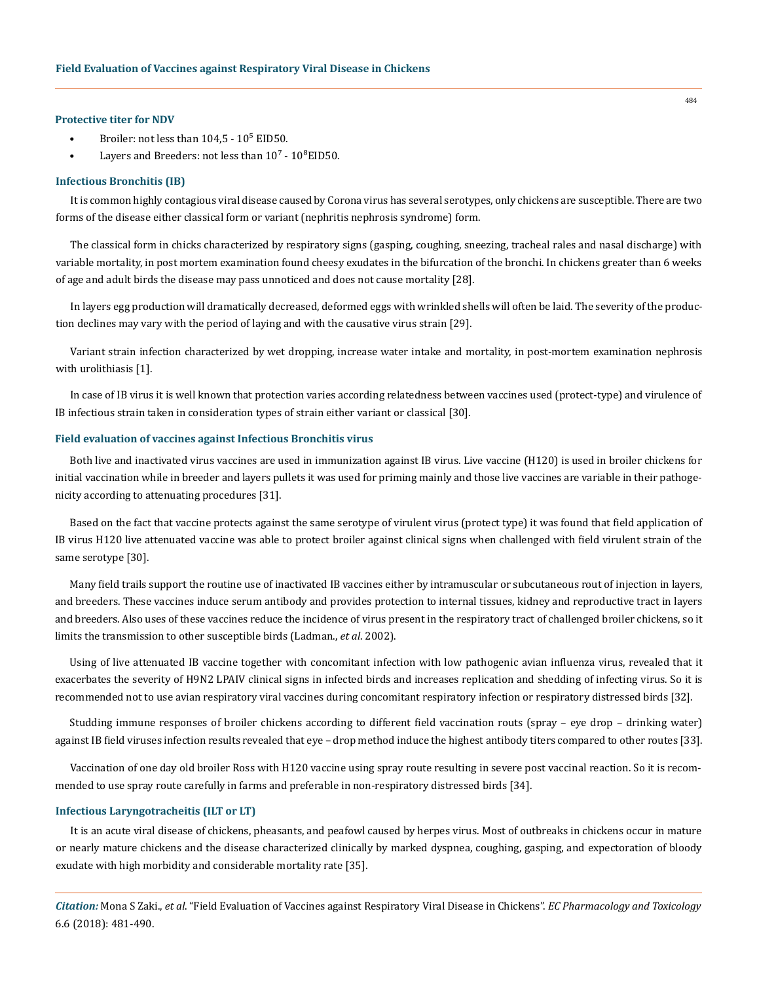## **Protective titer for NDV**

- Broiler: not less than  $104.5 10<sup>5</sup>$  EID50.
- Layers and Breeders: not less than  $10^7$   $10^8$ EID50.

## **Infectious Bronchitis (IB)**

It is common highly contagious viral disease caused by Corona virus has several serotypes, only chickens are susceptible. There are two forms of the disease either classical form or variant (nephritis nephrosis syndrome) form.

The classical form in chicks characterized by respiratory signs (gasping, coughing, sneezing, tracheal rales and nasal discharge) with variable mortality, in post mortem examination found cheesy exudates in the bifurcation of the bronchi. In chickens greater than 6 weeks of age and adult birds the disease may pass unnoticed and does not cause mortality [28].

In layers egg production will dramatically decreased, deformed eggs with wrinkled shells will often be laid. The severity of the production declines may vary with the period of laying and with the causative virus strain [29].

Variant strain infection characterized by wet dropping, increase water intake and mortality, in post-mortem examination nephrosis with urolithiasis [1].

In case of IB virus it is well known that protection varies according relatedness between vaccines used (protect-type) and virulence of IB infectious strain taken in consideration types of strain either variant or classical [30].

## **Field evaluation of vaccines against Infectious Bronchitis virus**

Both live and inactivated virus vaccines are used in immunization against IB virus. Live vaccine (H120) is used in broiler chickens for initial vaccination while in breeder and layers pullets it was used for priming mainly and those live vaccines are variable in their pathogenicity according to attenuating procedures [31].

Based on the fact that vaccine protects against the same serotype of virulent virus (protect type) it was found that field application of IB virus H120 live attenuated vaccine was able to protect broiler against clinical signs when challenged with field virulent strain of the same serotype [30].

Many field trails support the routine use of inactivated IB vaccines either by intramuscular or subcutaneous rout of injection in layers, and breeders. These vaccines induce serum antibody and provides protection to internal tissues, kidney and reproductive tract in layers and breeders. Also uses of these vaccines reduce the incidence of virus present in the respiratory tract of challenged broiler chickens, so it limits the transmission to other susceptible birds (Ladman., *et al*. 2002).

Using of live attenuated IB vaccine together with concomitant infection with low pathogenic avian influenza virus, revealed that it exacerbates the severity of H9N2 LPAIV clinical signs in infected birds and increases replication and shedding of infecting virus. So it is recommended not to use avian respiratory viral vaccines during concomitant respiratory infection or respiratory distressed birds [32].

Studding immune responses of broiler chickens according to different field vaccination routs (spray – eye drop – drinking water) against IB field viruses infection results revealed that eye – drop method induce the highest antibody titers compared to other routes [33].

Vaccination of one day old broiler Ross with H120 vaccine using spray route resulting in severe post vaccinal reaction. So it is recommended to use spray route carefully in farms and preferable in non-respiratory distressed birds [34].

#### **Infectious Laryngotracheitis (ILT or LT)**

It is an acute viral disease of chickens, pheasants, and peafowl caused by herpes virus. Most of outbreaks in chickens occur in mature or nearly mature chickens and the disease characterized clinically by marked dyspnea, coughing, gasping, and expectoration of bloody exudate with high morbidity and considerable mortality rate [35].

*Citation:* Mona S Zaki., *et al*. "Field Evaluation of Vaccines against Respiratory Viral Disease in Chickens". *EC Pharmacology and Toxicology*  6.6 (2018): 481-490.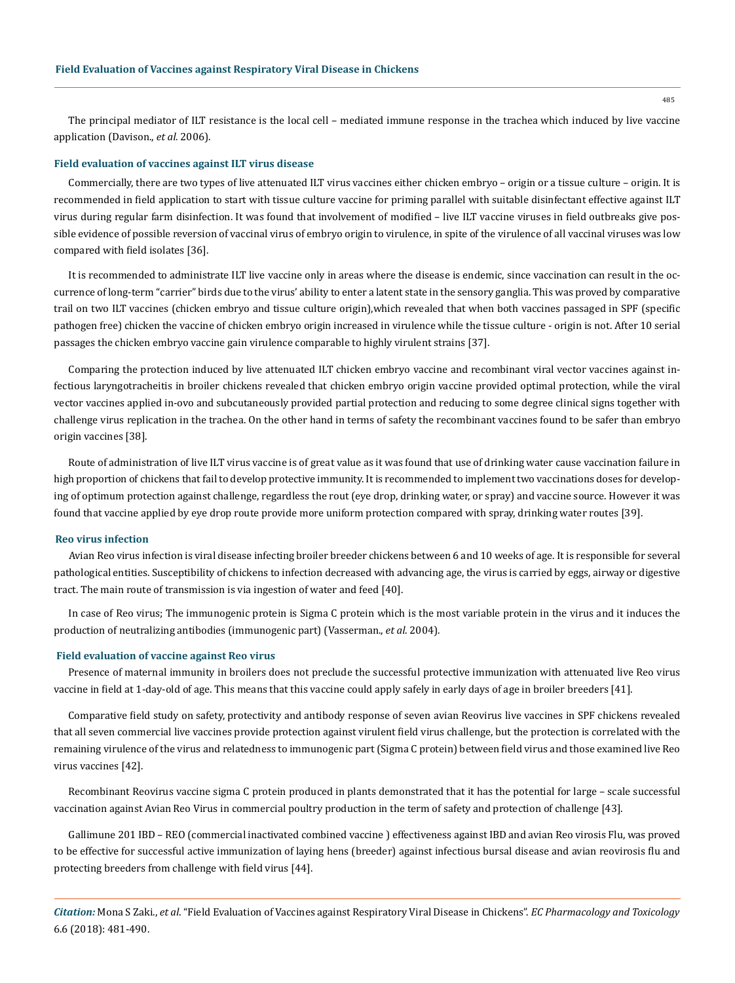The principal mediator of ILT resistance is the local cell – mediated immune response in the trachea which induced by live vaccine application (Davison., *et al.* 2006).

#### **Field evaluation of vaccines against ILT virus disease**

Commercially, there are two types of live attenuated ILT virus vaccines either chicken embryo – origin or a tissue culture – origin. It is recommended in field application to start with tissue culture vaccine for priming parallel with suitable disinfectant effective against ILT virus during regular farm disinfection. It was found that involvement of modified – live ILT vaccine viruses in field outbreaks give possible evidence of possible reversion of vaccinal virus of embryo origin to virulence, in spite of the virulence of all vaccinal viruses was low compared with field isolates [36].

It is recommended to administrate ILT live vaccine only in areas where the disease is endemic, since vaccination can result in the occurrence of long-term "carrier" birds due to the virus' ability to enter a latent state in the sensory ganglia. This was proved by comparative trail on two ILT vaccines (chicken embryo and tissue culture origin),which revealed that when both vaccines passaged in SPF (specific pathogen free) chicken the vaccine of chicken embryo origin increased in virulence while the tissue culture - origin is not. After 10 serial passages the chicken embryo vaccine gain virulence comparable to highly virulent strains [37].

Comparing the protection induced by live attenuated ILT chicken embryo vaccine and recombinant viral vector vaccines against infectious laryngotracheitis in broiler chickens revealed that chicken embryo origin vaccine provided optimal protection, while the viral vector vaccines applied in-ovo and subcutaneously provided partial protection and reducing to some degree clinical signs together with challenge virus replication in the trachea. On the other hand in terms of safety the recombinant vaccines found to be safer than embryo origin vaccines [38].

Route of administration of live ILT virus vaccine is of great value as it was found that use of drinking water cause vaccination failure in high proportion of chickens that fail to develop protective immunity. It is recommended to implement two vaccinations doses for developing of optimum protection against challenge, regardless the rout (eye drop, drinking water, or spray) and vaccine source. However it was found that vaccine applied by eye drop route provide more uniform protection compared with spray, drinking water routes [39].

#### **Reo virus infection**

Avian Reo virus infection is viral disease infecting broiler breeder chickens between 6 and 10 weeks of age. It is responsible for several pathological entities. Susceptibility of chickens to infection decreased with advancing age, the virus is carried by eggs, airway or digestive tract. The main route of transmission is via ingestion of water and feed [40].

In case of Reo virus; The immunogenic protein is Sigma C protein which is the most variable protein in the virus and it induces the production of neutralizing antibodies (immunogenic part) (Vasserman., *et al*. 2004).

## **Field evaluation of vaccine against Reo virus**

Presence of maternal immunity in broilers does not preclude the successful protective immunization with attenuated live Reo virus vaccine in field at 1-day-old of age. This means that this vaccine could apply safely in early days of age in broiler breeders [41].

Comparative field study on safety, protectivity and antibody response of seven avian Reovirus live vaccines in SPF chickens revealed that all seven commercial live vaccines provide protection against virulent field virus challenge, but the protection is correlated with the remaining virulence of the virus and relatedness to immunogenic part (Sigma C protein) between field virus and those examined live Reo virus vaccines [42].

Recombinant Reovirus vaccine sigma C protein produced in plants demonstrated that it has the potential for large – scale successful vaccination against Avian Reo Virus in commercial poultry production in the term of safety and protection of challenge [43].

Gallimune 201 IBD – REO (commercial inactivated combined vaccine ) effectiveness against IBD and avian Reo virosis Flu, was proved to be effective for successful active immunization of laying hens (breeder) against infectious bursal disease and avian reovirosis flu and protecting breeders from challenge with field virus [44].

*Citation:* Mona S Zaki., *et al*. "Field Evaluation of Vaccines against Respiratory Viral Disease in Chickens". *EC Pharmacology and Toxicology*  6.6 (2018): 481-490.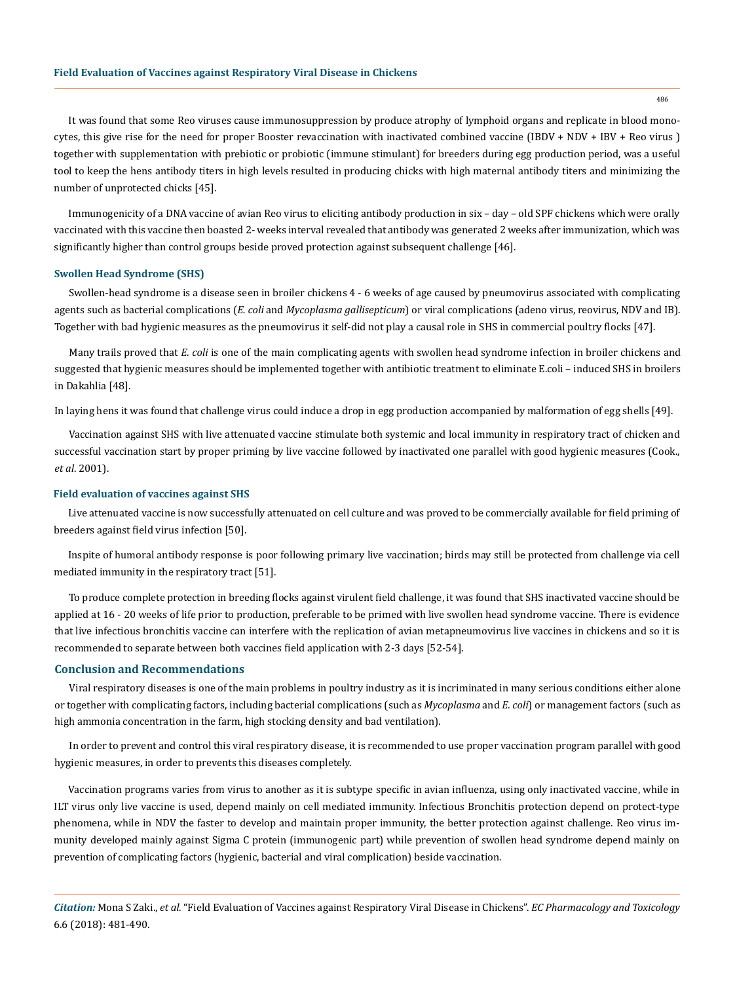486

It was found that some Reo viruses cause immunosuppression by produce atrophy of lymphoid organs and replicate in blood monocytes, this give rise for the need for proper Booster revaccination with inactivated combined vaccine (IBDV + NDV + IBV + Reo virus ) together with supplementation with prebiotic or probiotic (immune stimulant) for breeders during egg production period, was a useful tool to keep the hens antibody titers in high levels resulted in producing chicks with high maternal antibody titers and minimizing the number of unprotected chicks [45].

Immunogenicity of a DNA vaccine of avian Reo virus to eliciting antibody production in six – day – old SPF chickens which were orally vaccinated with this vaccine then boasted 2- weeks interval revealed that antibody was generated 2 weeks after immunization, which was significantly higher than control groups beside proved protection against subsequent challenge [46].

#### **Swollen Head Syndrome (SHS)**

Swollen-head syndrome is a disease seen in broiler chickens 4 - 6 weeks of age caused by pneumovirus associated with complicating agents such as bacterial complications (*E. coli* and *Mycoplasma gallisepticum*) or viral complications (adeno virus, reovirus, NDV and IB). Together with bad hygienic measures as the pneumovirus it self-did not play a causal role in SHS in commercial poultry flocks [47].

Many trails proved that *E. coli* is one of the main complicating agents with swollen head syndrome infection in broiler chickens and suggested that hygienic measures should be implemented together with antibiotic treatment to eliminate E.coli – induced SHS in broilers in Dakahlia [48].

In laying hens it was found that challenge virus could induce a drop in egg production accompanied by malformation of egg shells [49].

Vaccination against SHS with live attenuated vaccine stimulate both systemic and local immunity in respiratory tract of chicken and successful vaccination start by proper priming by live vaccine followed by inactivated one parallel with good hygienic measures (Cook., *et al*. 2001).

#### **Field evaluation of vaccines against SHS**

Live attenuated vaccine is now successfully attenuated on cell culture and was proved to be commercially available for field priming of breeders against field virus infection [50].

Inspite of humoral antibody response is poor following primary live vaccination; birds may still be protected from challenge via cell mediated immunity in the respiratory tract [51].

To produce complete protection in breeding flocks against virulent field challenge, it was found that SHS inactivated vaccine should be applied at 16 - 20 weeks of life prior to production, preferable to be primed with live swollen head syndrome vaccine. There is evidence that live infectious bronchitis vaccine can interfere with the replication of avian metapneumovirus live vaccines in chickens and so it is recommended to separate between both vaccines field application with 2-3 days [52-54].

## **Conclusion and Recommendations**

Viral respiratory diseases is one of the main problems in poultry industry as it is incriminated in many serious conditions either alone or together with complicating factors, including bacterial complications (such as *Mycoplasma* and *E. coli*) or management factors (such as high ammonia concentration in the farm, high stocking density and bad ventilation).

In order to prevent and control this viral respiratory disease, it is recommended to use proper vaccination program parallel with good hygienic measures, in order to prevents this diseases completely.

Vaccination programs varies from virus to another as it is subtype specific in avian influenza, using only inactivated vaccine, while in ILT virus only live vaccine is used, depend mainly on cell mediated immunity. Infectious Bronchitis protection depend on protect-type phenomena, while in NDV the faster to develop and maintain proper immunity, the better protection against challenge. Reo virus immunity developed mainly against Sigma C protein (immunogenic part) while prevention of swollen head syndrome depend mainly on prevention of complicating factors (hygienic, bacterial and viral complication) beside vaccination.

*Citation:* Mona S Zaki., *et al*. "Field Evaluation of Vaccines against Respiratory Viral Disease in Chickens". *EC Pharmacology and Toxicology*  6.6 (2018): 481-490.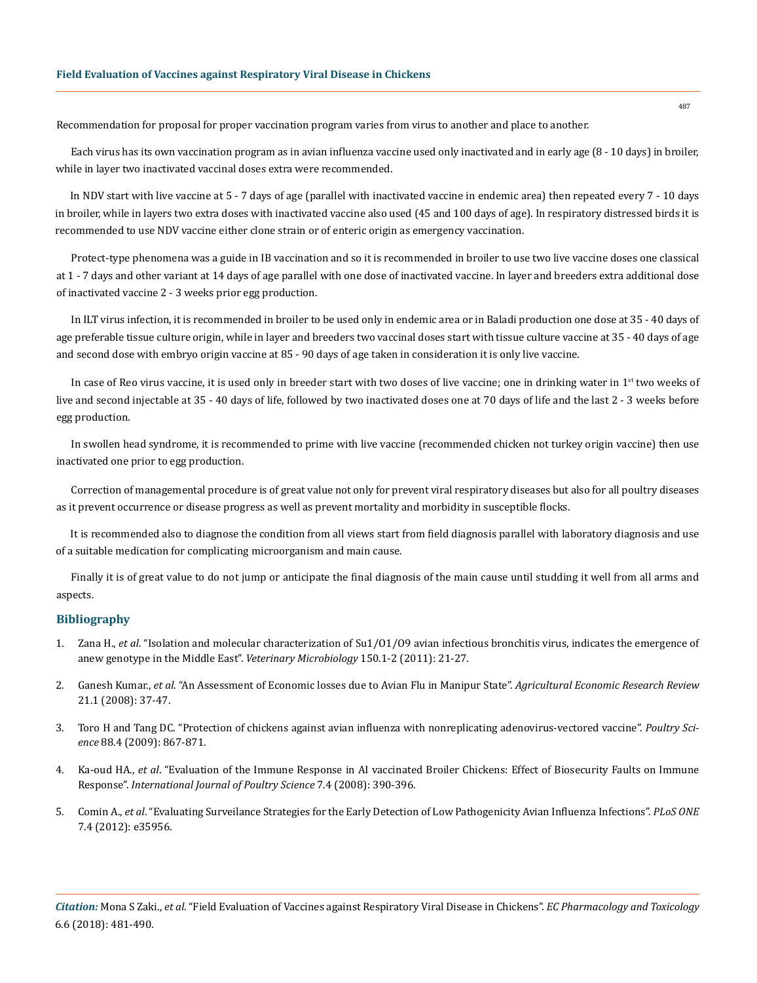Recommendation for proposal for proper vaccination program varies from virus to another and place to another.

Each virus has its own vaccination program as in avian influenza vaccine used only inactivated and in early age (8 - 10 days) in broiler, while in layer two inactivated vaccinal doses extra were recommended.

In NDV start with live vaccine at 5 - 7 days of age (parallel with inactivated vaccine in endemic area) then repeated every 7 - 10 days in broiler, while in layers two extra doses with inactivated vaccine also used (45 and 100 days of age). In respiratory distressed birds it is recommended to use NDV vaccine either clone strain or of enteric origin as emergency vaccination.

Protect-type phenomena was a guide in IB vaccination and so it is recommended in broiler to use two live vaccine doses one classical at 1 - 7 days and other variant at 14 days of age parallel with one dose of inactivated vaccine. In layer and breeders extra additional dose of inactivated vaccine 2 - 3 weeks prior egg production.

In ILT virus infection, it is recommended in broiler to be used only in endemic area or in Baladi production one dose at 35 - 40 days of age preferable tissue culture origin, while in layer and breeders two vaccinal doses start with tissue culture vaccine at 35 - 40 days of age and second dose with embryo origin vaccine at 85 - 90 days of age taken in consideration it is only live vaccine.

In case of Reo virus vaccine, it is used only in breeder start with two doses of live vaccine; one in drinking water in  $1<sup>st</sup>$  two weeks of live and second injectable at 35 - 40 days of life, followed by two inactivated doses one at 70 days of life and the last 2 - 3 weeks before egg production.

In swollen head syndrome, it is recommended to prime with live vaccine (recommended chicken not turkey origin vaccine) then use inactivated one prior to egg production.

Correction of managemental procedure is of great value not only for prevent viral respiratory diseases but also for all poultry diseases as it prevent occurrence or disease progress as well as prevent mortality and morbidity in susceptible flocks.

It is recommended also to diagnose the condition from all views start from field diagnosis parallel with laboratory diagnosis and use of a suitable medication for complicating microorganism and main cause.

Finally it is of great value to do not jump or anticipate the final diagnosis of the main cause until studding it well from all arms and aspects.

# **Bibliography**

- 1. Zana H., *et al*[. "Isolation and molecular characterization of Su1/O1/O9 avian infectious bronchitis virus, indicates the emergence of](https://www.ncbi.nlm.nih.gov/pubmed/21216111)  [anew genotype in the Middle East".](https://www.ncbi.nlm.nih.gov/pubmed/21216111) *Veterinary Microbiology* 150.1-2 (2011): 21-27.
- 2. Ganesh Kumar., *et al*[. "An Assessment of Economic losses due to Avian Flu in Manipur State".](http://ageconsearch.umn.edu/record/47358) *Agricultural Economic Research Review* [21.1 \(2008\): 37-47.](http://ageconsearch.umn.edu/record/47358)
- 3. [Toro H and Tang DC. "Protection of chickens against avian influenza with nonreplicating adenovirus-vectored vaccine".](https://www.ncbi.nlm.nih.gov/pubmed/19276437) *Poultry Science* [88.4 \(2009\): 867-871.](https://www.ncbi.nlm.nih.gov/pubmed/19276437)
- 4. Ka-oud HA., *et al*[. "Evaluation of the Immune Response in AI vaccinated Broiler Chickens: Effect of Biosecurity Faults on Immune](http://citeseerx.ist.psu.edu/viewdoc/download?doi=10.1.1.585.2484&rep=rep1&type=pdf)  Response". *[International Journal of Poultry Science](http://citeseerx.ist.psu.edu/viewdoc/download?doi=10.1.1.585.2484&rep=rep1&type=pdf)* 7.4 (2008): 390-396.
- 5. Comin A., *et al*[. "Evaluating Surveilance Strategies for the Early Detection of Low Pathogenicity Avian Influenza Infections".](https://www.ncbi.nlm.nih.gov/pubmed/22545151) *PLoS ONE* [7.4 \(2012\): e35956.](https://www.ncbi.nlm.nih.gov/pubmed/22545151)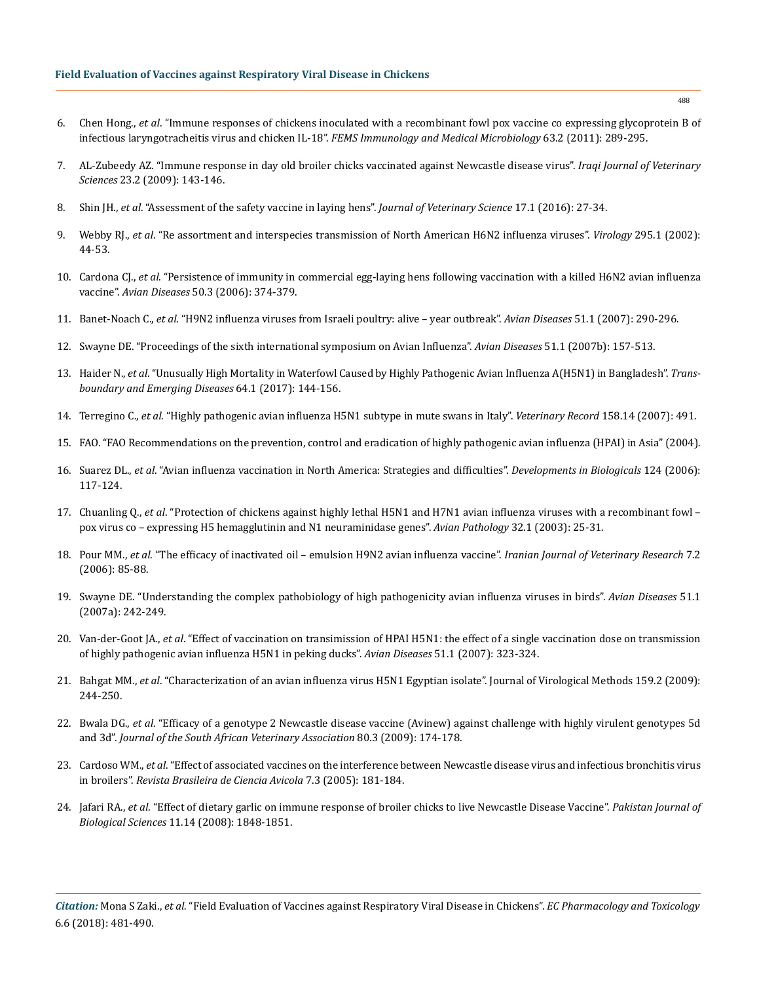- 6. Chen Hong., *et al*[. "Immune responses of chickens inoculated with a recombinant fowl pox vaccine co expressing glycoprotein B of](https://www.ncbi.nlm.nih.gov/pubmed/22077232)  [infectious laryngotracheitis virus and chicken IL-18".](https://www.ncbi.nlm.nih.gov/pubmed/22077232) *FEMS Immunology and Medical Microbiology* 63.2 (2011): 289-295.
- 7. [AL-Zubeedy AZ. "Immune response in day old broiler chicks vaccinated against Newcastle disease virus".](http://vetmedmosul.org/ijvs/media/conf-2-23e.pdf) *Iraqi Journal of Veterinary Sciences* [23.2 \(2009\): 143-146.](http://vetmedmosul.org/ijvs/media/conf-2-23e.pdf)
- 8. Shin JH., *et al*[. "Assessment of the safety vaccine in laying hens".](https://www.ncbi.nlm.nih.gov/pmc/articles/PMC4808641/) *Journal of Veterinary Science* 17.1 (2016): 27-34.
- 9. Webby RJ., *et al*[. "Re assortment and interspecies transmission of North American H6N2 influenza viruses".](https://www.ncbi.nlm.nih.gov/pubmed/12033764) *Virology* 295.1 (2002): [44-53.](https://www.ncbi.nlm.nih.gov/pubmed/12033764)
- 10. Cardona CJ., *et al*[. "Persistence of immunity in commercial egg-laying hens following vaccination with a killed H6N2 avian influenza](https://www.ncbi.nlm.nih.gov/pubmed/17039836)  vaccine". *Avian Diseases* [50.3 \(2006\): 374-379.](https://www.ncbi.nlm.nih.gov/pubmed/17039836)
- 11. Banet-Noach C., *et al*[. "H9N2 influenza viruses from Israeli poultry: alive year outbreak".](https://www.ncbi.nlm.nih.gov/pubmed/17494569) *Avian Diseases* 51.1 (2007): 290-296.
- 12. [Swayne DE. "Proceedings of the sixth international symposium on Avian Influenza".](https://www.ncbi.nlm.nih.gov/pubmed/17563946) *Avian Diseases* 51.1 (2007b): 157-513.
- 13. Haider N., *et al*[. "Unusually High Mortality in Waterfowl Caused by Highly Pathogenic Avian Influenza A\(H5N1\) in Bangladesh".](https://www.ncbi.nlm.nih.gov/pubmed/25892457) *Trans[boundary and Emerging Diseases](https://www.ncbi.nlm.nih.gov/pubmed/25892457)* 64.1 (2017): 144-156.
- 14. Terregino C., *et al*[. "Highly pathogenic avian influenza H5N1 subtype in mute swans in Italy".](https://www.ncbi.nlm.nih.gov/pubmed/16603559) *Veterinary Record* 158.14 (2007): 491.
- 15. [FAO. "FAO Recommendations on the prevention, control and eradication of highly pathogenic avian influenza \(HPAI\) in Asia" \(2004\).](http://www.fao.org/docs/eims/upload/246982/aj126e00.pdf)
- 16. Suarez DL., *et al*[. "Avian influenza vaccination in North America: Strategies and difficulties".](https://www.ncbi.nlm.nih.gov/pubmed/16447502) *Developments in Biologicals* 124 (2006): [117-124.](https://www.ncbi.nlm.nih.gov/pubmed/16447502)
- 17. Chuanling Q., *et al*[. "Protection of chickens against highly lethal H5N1 and H7N1 avian influenza viruses with a recombinant fowl](https://www.ncbi.nlm.nih.gov/pubmed/12745375)  [pox virus co – expressing H5 hemagglutinin and N1 neuraminidase genes".](https://www.ncbi.nlm.nih.gov/pubmed/12745375) *Avian Pathology* 32.1 (2003): 25-31.
- 18. Pour MM., *et al*[. "The efficacy of inactivated oil emulsion H9N2 avian influenza vaccine".](http://ijvr.shirazu.ac.ir/pdf_2669_d98a4c4f11ae7948b610d5ca4181e05a.html) *Iranian Journal of Veterinary Research* 7.2 [\(2006\): 85-88.](http://ijvr.shirazu.ac.ir/pdf_2669_d98a4c4f11ae7948b610d5ca4181e05a.html)
- 19. [Swayne DE. "Understanding the complex pathobiology of high pathogenicity avian influenza viruses in birds".](https://www.ncbi.nlm.nih.gov/pubmed/17494560) *Avian Diseases* 51.1 [\(2007a\): 242-249.](https://www.ncbi.nlm.nih.gov/pubmed/17494560)
- 20. Van-der-Goot JA., *et al*[. "Effect of vaccination on transimission of HPAI H5N1: the effect of a single vaccination dose on transmission](https://www.ncbi.nlm.nih.gov/pubmed/17494575)  [of highly pathogenic avian influenza H5N1 in peking ducks".](https://www.ncbi.nlm.nih.gov/pubmed/17494575) *Avian Diseases* 51.1 (2007): 323-324.
- 21. Bahgat MM., *et al*[. "Characterization of an avian influenza virus H5N1 Egyptian isolate". Journal of Virological Methods 159.2 \(2009\):](https://www.ncbi.nlm.nih.gov/pubmed/19406157)  [244-250.](https://www.ncbi.nlm.nih.gov/pubmed/19406157)
- 22. Bwala DG., *et al*[. "Efficacy of a genotype 2 Newcastle disease vaccine \(Avinew\) against challenge with highly virulent genotypes 5d](https://www.ncbi.nlm.nih.gov/pubmed/20169751)  and 3d". *[Journal of the South African Veterinary Association](https://www.ncbi.nlm.nih.gov/pubmed/20169751)* 80.3 (2009): 174-178.
- 23. Cardoso WM., *et al*[. "Effect of associated vaccines on the interference between Newcastle disease virus and infectious bronchitis virus](http://www.scielo.br/scielo.php?script=sci_arttext&pid=S1516-635X2005000300008)  in broilers". *[Revista Brasileira de Ciencia Avicola](http://www.scielo.br/scielo.php?script=sci_arttext&pid=S1516-635X2005000300008)* 7.3 (2005): 181-184.
- 24. Jafari RA., *et al*[. "Effect of dietary garlic on immune response of broiler chicks to live Newcastle Disease Vaccine".](https://www.ncbi.nlm.nih.gov/pubmed/18817229) *Pakistan Journal of Biological Sciences* [11.14 \(2008\): 1848-1851.](https://www.ncbi.nlm.nih.gov/pubmed/18817229)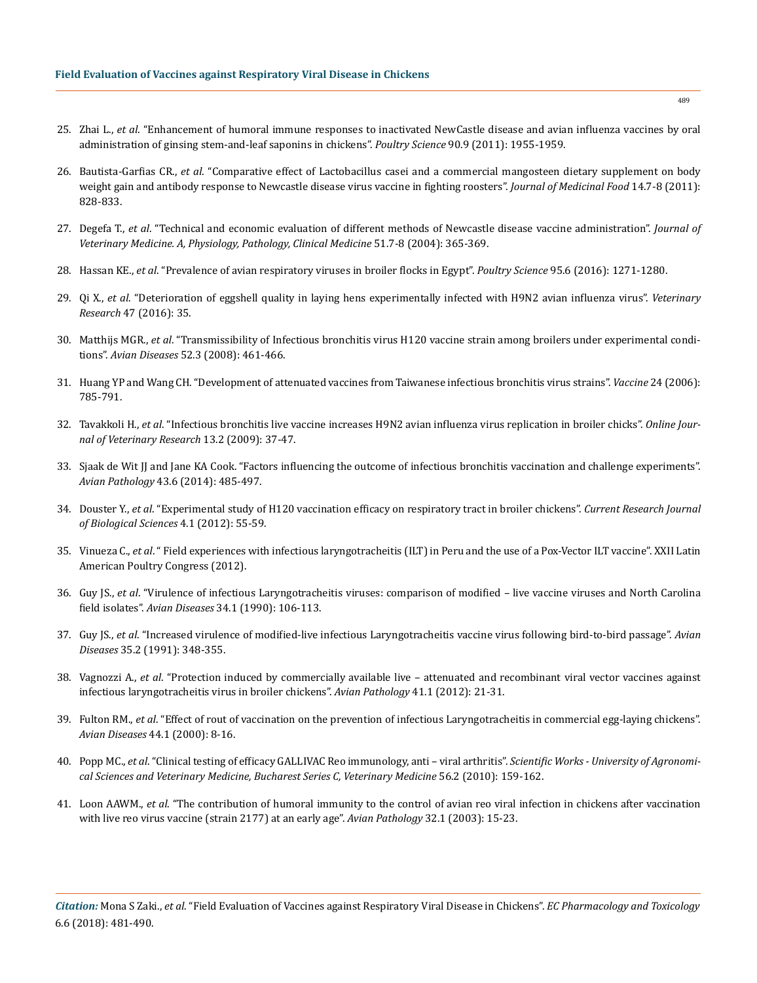- 25. Zhai L., *et al*[. "Enhancement of humoral immune responses to inactivated NewCastle disease and avian influenza vaccines by oral](https://www.ncbi.nlm.nih.gov/pubmed/21844260)  [administration of ginsing stem-and-leaf saponins in chickens".](https://www.ncbi.nlm.nih.gov/pubmed/21844260) *Poultry Science* 90.9 (2011): 1955-1959.
- 26. Bautista-Garfias CR., *et al*[. "Comparative effect of Lactobacillus casei and a commercial mangosteen dietary supplement on body](https://www.ncbi.nlm.nih.gov/pubmed/21548799)  [weight gain and antibody response to Newcastle disease virus vaccine in fighting roosters".](https://www.ncbi.nlm.nih.gov/pubmed/21548799) *Journal of Medicinal Food* 14.7-8 (2011): [828-833.](https://www.ncbi.nlm.nih.gov/pubmed/21548799)
- 27. Degefa T., *et al*[. "Technical and economic evaluation of different methods of Newcastle disease vaccine administration".](https://www.ncbi.nlm.nih.gov/pubmed/15533121) *Journal of [Veterinary Medicine. A, Physiology, Pathology, Clinical Medicine](https://www.ncbi.nlm.nih.gov/pubmed/15533121)* 51.7-8 (2004): 365-369.
- 28. Hassan KE., *et al*[. "Prevalence of avian respiratory viruses in broiler flocks in Egypt".](https://www.ncbi.nlm.nih.gov/pubmed/26976895) *Poultry Science* 95.6 (2016): 1271-1280.
- 29. Qi X., *et al*[. "Deterioration of eggshell quality in laying hens experimentally infected with H9N2 avian influenza virus".](https://veterinaryresearch.biomedcentral.com/articles/10.1186/s13567-016-0322-4) *Veterinary Research* [47 \(2016\): 35.](https://veterinaryresearch.biomedcentral.com/articles/10.1186/s13567-016-0322-4)
- 30. Matthijs MGR., *et al*[. "Transmissibility of Infectious bronchitis virus H120 vaccine strain among broilers under experimental condi](https://www.ncbi.nlm.nih.gov/pubmed/18939636)tions". *Avian Diseases* [52.3 \(2008\): 461-466.](https://www.ncbi.nlm.nih.gov/pubmed/18939636)
- 31. [Huang YP and Wang CH. "Development of attenuated vaccines from Taiwanese infectious bronchitis virus strains".](https://www.ncbi.nlm.nih.gov/pubmed/16239054) *Vaccine* 24 (2006): [785-791.](https://www.ncbi.nlm.nih.gov/pubmed/16239054)
- 32. Tavakkoli H., *et al*[. "Infectious bronchitis live vaccine increases H9N2 avian influenza virus replication in broiler chicks".](https://www.cabdirect.org/cabdirect/abstract/20103052985?start=700) *Online Jour[nal of Veterinary Research](https://www.cabdirect.org/cabdirect/abstract/20103052985?start=700)* 13.2 (2009): 37-47.
- 33. [Sjaak de Wit JJ and Jane KA Cook. "Factors influencing the outcome of infectious bronchitis vaccination and challenge experiments".](https://www.ncbi.nlm.nih.gov/pubmed/25338230)  *Avian Pathology* [43.6 \(2014\): 485-497.](https://www.ncbi.nlm.nih.gov/pubmed/25338230)
- 34. Douster Y., *et al*. "Experimental study of H120 vaccination efficacy on respiratory tract in broiler chickens". *Current Research Journal of Biological Sciences* 4.1 (2012): 55-59.
- 35. Vinueza C., *et al*. " Field experiences with infectious laryngotracheitis (ILT) in Peru and the use of a Pox-Vector ILT vaccine". XXII Latin American Poultry Congress (2012).
- 36. Guy JS., *et al*[. "Virulence of infectious Laryngotracheitis viruses: comparison of modified live vaccine viruses and North Carolina](https://www.ncbi.nlm.nih.gov/pubmed/2157386)  field isolates". *Avian Diseases* [34.1 \(1990\): 106-113.](https://www.ncbi.nlm.nih.gov/pubmed/2157386)
- 37. Guy JS., *et al*[. "Increased virulence of modified-live infectious Laryngotracheitis vaccine virus following bird-to-bird passage".](https://www.ncbi.nlm.nih.gov/pubmed/1649591) *Avian Diseases* [35.2 \(1991\): 348-355.](https://www.ncbi.nlm.nih.gov/pubmed/1649591)
- 38. Vagnozzi A., *et al*[. "Protection induced by commercially available live attenuated and recombinant viral vector vaccines against](https://www.ncbi.nlm.nih.gov/pubmed/22845318)  [infectious laryngotracheitis virus in broiler chickens".](https://www.ncbi.nlm.nih.gov/pubmed/22845318) *Avian Pathology* 41.1 (2012): 21-31.
- 39. Fulton RM., *et al*[. "Effect of rout of vaccination on the prevention of infectious Laryngotracheitis in commercial egg-laying chickens".](https://www.ncbi.nlm.nih.gov/pubmed/10737639)  *Avian Diseases* [44.1 \(2000\): 8-16.](https://www.ncbi.nlm.nih.gov/pubmed/10737639)
- 40. Popp MC., *et al*[. "Clinical testing of efficacy GALLIVAC Reo immunology, anti viral arthritis".](https://www.cabdirect.org/cabdirect/abstract/20113156310) *Scientific Works University of Agronomi[cal Sciences and Veterinary Medicine, Bucharest Series C, Veterinary Medicine](https://www.cabdirect.org/cabdirect/abstract/20113156310)* 56.2 (2010): 159-162.
- 41. Loon AAWM., *et al*[. "The contribution of humoral immunity to the control of avian reo viral infection in chickens after vaccination](https://www.ncbi.nlm.nih.gov/pubmed/12745377)  [with live reo virus vaccine \(strain 2177\) at an early age".](https://www.ncbi.nlm.nih.gov/pubmed/12745377) *Avian Pathology* 32.1 (2003): 15-23.